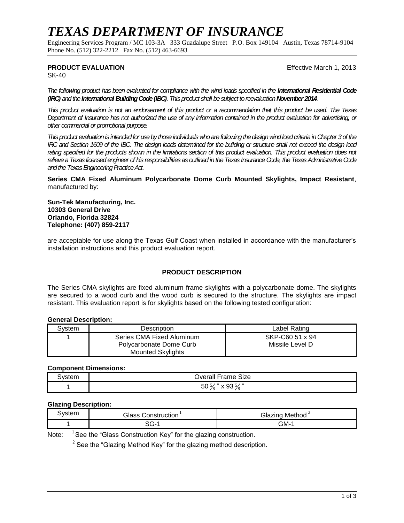# *TEXAS DEPARTMENT OF INSURANCE*

Engineering Services Program / MC 103-3A 333 Guadalupe Street P.O. Box 149104 Austin, Texas 78714-9104 Phone No. (512) 322-2212 Fax No. (512) 463-6693

## **PRODUCT EVALUATION Effective March 1, 2013**

SK-40

*The following product has been evaluated for compliance with the wind loads specified in the International Residential Code (IRC) and the International Building Code (IBC). This product shall be subject to reevaluation November 2014.*

*This product evaluation is not an endorsement of this product or a recommendation that this product be used. The Texas Department of Insurance has not authorized the use of any information contained in the product evaluation for advertising, or other commercial or promotional purpose.*

*This product evaluation is intended for use by those individuals who are following the design wind load criteria in Chapter 3of the IRC and Section 1609 of the IBC. The design loads determined for the building or structure shall not exceed the design load rating specified for the products shown in the limitations section of this product evaluation. This product evaluation does not relieve a Texas licensed engineer of his responsibilities as outlined in the Texas Insurance Code, the Texas Administrative Code and the Texas Engineering Practice Act.*

**Series CMA Fixed Aluminum Polycarbonate Dome Curb Mounted Skylights, Impact Resistant**, manufactured by:

**Sun-Tek Manufacturing, Inc. 10303 General Drive Orlando, Florida 32824 Telephone: (407) 859-2117**

are acceptable for use along the Texas Gulf Coast when installed in accordance with the manufacturer's installation instructions and this product evaluation report.

## **PRODUCT DESCRIPTION**

The Series CMA skylights are fixed aluminum frame skylights with a polycarbonate dome. The skylights are secured to a wood curb and the wood curb is secured to the structure. The skylights are impact resistant. This evaluation report is for skylights based on the following tested configuration:

### **General Description:**

| Svstem | Description               | Label Rating    |  |
|--------|---------------------------|-----------------|--|
|        | Series CMA Fixed Aluminum | SKP-C60 51 x 94 |  |
|        | Polycarbonate Dome Curb   | Missile Level D |  |
|        | <b>Mounted Skylights</b>  |                 |  |

#### **Component Dimensions:**

| .vstem | -<br>Trame Size<br>$\sim$ $\sim$<br>.<br>Jverall       |  |
|--------|--------------------------------------------------------|--|
|        | 5/22<br>ЭU<br>J.<br>ວບ<br>$\epsilon$<br>∕ð.<br>$\circ$ |  |

#### **Glazing Description:**

| ੈystem | - המור<br>Construction<br>ההמונ | Glazing<br>Method |
|--------|---------------------------------|-------------------|
|        | <br>- 17 د.                     | GM-               |

Note:  $1$  See the "Glass Construction Key" for the glazing construction.

 $2^{2}$  See the "Glazing Method Key" for the glazing method description.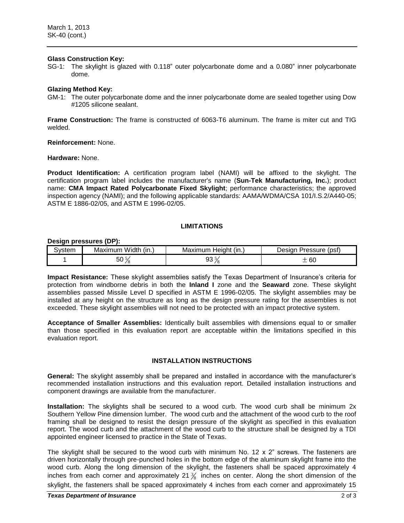#### **Glass Construction Key:**

SG-1: The skylight is glazed with 0.118" outer polycarbonate dome and a 0.080" inner polycarbonate dome.

#### **Glazing Method Key:**

GM-1: The outer polycarbonate dome and the inner polycarbonate dome are sealed together using Dow #1205 silicone sealant.

**Frame Construction:** The frame is constructed of 6063-T6 aluminum. The frame is miter cut and TIG welded.

**Reinforcement:** None.

**Hardware:** None.

**Product Identification:** A certification program label (NAMI) will be affixed to the skylight. The certification program label includes the manufacturer's name (**Sun-Tek Manufacturing, Inc.**); product name: **CMA Impact Rated Polycarbonate Fixed Skylight**; performance characteristics; the approved inspection agency (NAMI); and the following applicable standards: AAMA/WDMA/CSA 101/I.S.2/A440-05; ASTM E 1886-02/05, and ASTM E 1996-02/05.

#### **LIMITATIONS**

#### **Design pressures (DP):**

| ∋vstem | $\cdots$<br>Width<br>≅ (in…<br>Maximum | (in.,<br>Maximum<br>Heigh <sup>+</sup> | (psf)<br>Pressure<br>Desiar |
|--------|----------------------------------------|----------------------------------------|-----------------------------|
|        | ่วบ                                    | ◡<br>JU                                | $\sim$<br>юu                |

**Impact Resistance:** These skylight assemblies satisfy the Texas Department of Insurance's criteria for protection from windborne debris in both the **Inland I** zone and the **Seaward** zone. These skylight assemblies passed Missile Level D specified in ASTM E 1996-02/05. The skylight assemblies may be installed at any height on the structure as long as the design pressure rating for the assemblies is not exceeded. These skylight assemblies will not need to be protected with an impact protective system.

**Acceptance of Smaller Assemblies:** Identically built assemblies with dimensions equal to or smaller than those specified in this evaluation report are acceptable within the limitations specified in this evaluation report.

#### **INSTALLATION INSTRUCTIONS**

**General:** The skylight assembly shall be prepared and installed in accordance with the manufacturer's recommended installation instructions and this evaluation report. Detailed installation instructions and component drawings are available from the manufacturer.

**Installation:** The skylights shall be secured to a wood curb. The wood curb shall be minimum 2x Southern Yellow Pine dimension lumber. The wood curb and the attachment of the wood curb to the roof framing shall be designed to resist the design pressure of the skylight as specified in this evaluation report. The wood curb and the attachment of the wood curb to the structure shall be designed by a TDI appointed engineer licensed to practice in the State of Texas.

The skylight shall be secured to the wood curb with minimum No. 12  $\times$  2" screws. The fasteners are driven horizontally through pre-punched holes in the bottom edge of the aluminum skylight frame into the wood curb. Along the long dimension of the skylight, the fasteners shall be spaced approximately 4 inches from each corner and approximately 21  $\frac{3}{8}$  inches on center. Along the short dimension of the skylight, the fasteners shall be spaced approximately 4 inches from each corner and approximately 15